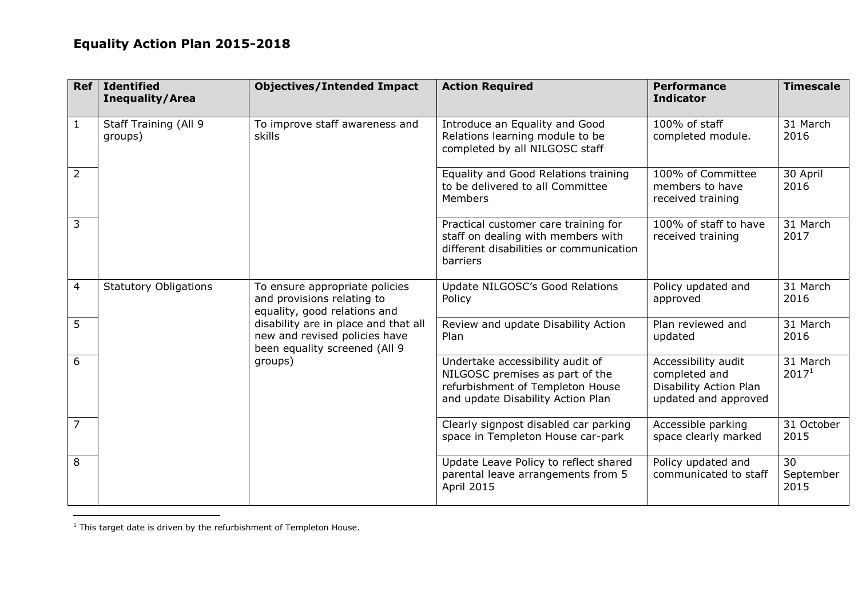## **Equality Action Plan 2015-2018**

| Ref            | <b>Identified</b><br><b>Inequality/Area</b>                                  | <b>Objectives/Intended Impact</b>                                                                                                                                                                                 | <b>Action Required</b>                                                                                                                       | <b>Performance</b><br><b>Indicator</b>                                                 | <b>Timescale</b>              |
|----------------|------------------------------------------------------------------------------|-------------------------------------------------------------------------------------------------------------------------------------------------------------------------------------------------------------------|----------------------------------------------------------------------------------------------------------------------------------------------|----------------------------------------------------------------------------------------|-------------------------------|
| $\mathbf{1}$   | To improve staff awareness and<br>Staff Training (All 9<br>skills<br>groups) |                                                                                                                                                                                                                   | Introduce an Equality and Good<br>Relations learning module to be<br>completed by all NILGOSC staff                                          | 100% of staff<br>completed module.                                                     | 31 March<br>2016              |
| $\overline{2}$ |                                                                              |                                                                                                                                                                                                                   | Equality and Good Relations training<br>to be delivered to all Committee<br><b>Members</b>                                                   | 100% of Committee<br>members to have<br>received training                              | 30 April<br>2016              |
| 3              |                                                                              | Practical customer care training for<br>staff on dealing with members with<br>different disabilities or communication<br>barriers                                                                                 | 100% of staff to have<br>received training                                                                                                   | 31 March<br>2017                                                                       |                               |
| 4              | <b>Statutory Obligations</b>                                                 | To ensure appropriate policies<br>and provisions relating to<br>equality, good relations and<br>disability are in place and that all<br>new and revised policies have<br>been equality screened (All 9<br>groups) | Update NILGOSC's Good Relations<br>Policy                                                                                                    | Policy updated and<br>approved                                                         | 31 March<br>2016              |
| 5              |                                                                              |                                                                                                                                                                                                                   | Review and update Disability Action<br>Plan                                                                                                  | Plan reviewed and<br>updated                                                           | 31 March<br>2016              |
| 6              |                                                                              |                                                                                                                                                                                                                   | Undertake accessibility audit of<br>NILGOSC premises as part of the<br>refurbishment of Templeton House<br>and update Disability Action Plan | Accessibility audit<br>completed and<br>Disability Action Plan<br>updated and approved | 31 March<br>2017 <sup>1</sup> |
| $\overline{7}$ |                                                                              |                                                                                                                                                                                                                   | Clearly signpost disabled car parking<br>space in Templeton House car-park                                                                   | Accessible parking<br>space clearly marked                                             | 31 October<br>2015            |
| 8              |                                                                              |                                                                                                                                                                                                                   | Update Leave Policy to reflect shared<br>parental leave arrangements from 5<br>April 2015                                                    | Policy updated and<br>communicated to staff                                            | 30<br>September<br>2015       |

 $<sup>1</sup>$  This target date is driven by the refurbishment of Templeton House.</sup>

 $\overline{\phantom{a}}$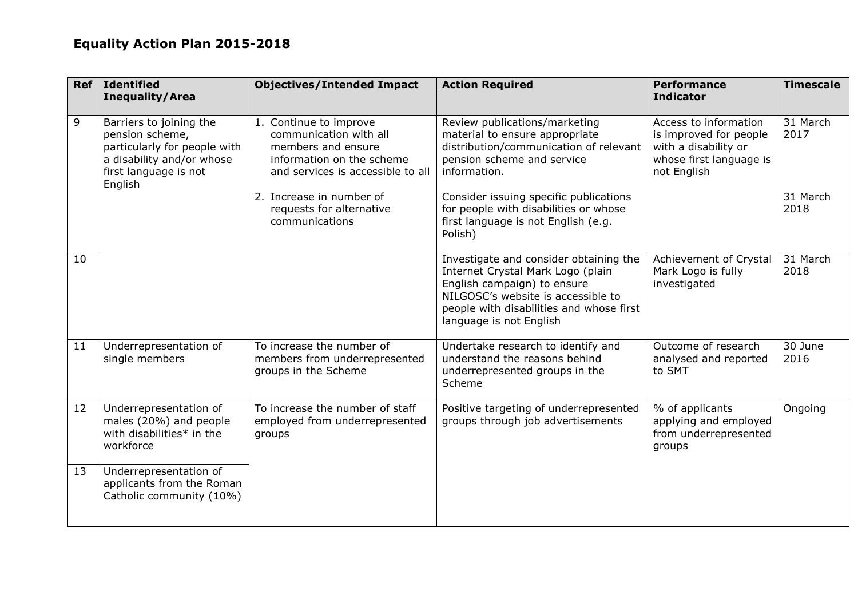## **Equality Action Plan 2015-2018**

| <b>Ref</b> | <b>Identified</b><br><b>Inequality/Area</b>                                                                                                 | <b>Objectives/Intended Impact</b>                                                                                                        | <b>Action Required</b>                                                                                                                                                                                                  | <b>Performance</b><br><b>Indicator</b>                                                                            | <b>Timescale</b> |
|------------|---------------------------------------------------------------------------------------------------------------------------------------------|------------------------------------------------------------------------------------------------------------------------------------------|-------------------------------------------------------------------------------------------------------------------------------------------------------------------------------------------------------------------------|-------------------------------------------------------------------------------------------------------------------|------------------|
| 9          | Barriers to joining the<br>pension scheme,<br>particularly for people with<br>a disability and/or whose<br>first language is not<br>English | 1. Continue to improve<br>communication with all<br>members and ensure<br>information on the scheme<br>and services is accessible to all | Review publications/marketing<br>material to ensure appropriate<br>distribution/communication of relevant<br>pension scheme and service<br>information.                                                                 | Access to information<br>is improved for people<br>with a disability or<br>whose first language is<br>not English | 31 March<br>2017 |
|            |                                                                                                                                             | 2. Increase in number of<br>requests for alternative<br>communications                                                                   | Consider issuing specific publications<br>for people with disabilities or whose<br>first language is not English (e.g.<br>Polish)                                                                                       |                                                                                                                   | 31 March<br>2018 |
| 10         |                                                                                                                                             |                                                                                                                                          | Investigate and consider obtaining the<br>Internet Crystal Mark Logo (plain<br>English campaign) to ensure<br>NILGOSC's website is accessible to<br>people with disabilities and whose first<br>language is not English | Achievement of Crystal<br>Mark Logo is fully<br>investigated                                                      | 31 March<br>2018 |
| 11         | Underrepresentation of<br>single members                                                                                                    | To increase the number of<br>members from underrepresented<br>groups in the Scheme                                                       | Undertake research to identify and<br>understand the reasons behind<br>underrepresented groups in the<br>Scheme                                                                                                         | Outcome of research<br>analysed and reported<br>to SMT                                                            | 30 June<br>2016  |
| 12         | Underrepresentation of<br>males (20%) and people<br>with disabilities* in the<br>workforce                                                  | To increase the number of staff<br>employed from underrepresented<br>groups                                                              | Positive targeting of underrepresented<br>groups through job advertisements                                                                                                                                             | % of applicants<br>applying and employed<br>from underrepresented<br>groups                                       | Ongoing          |
| 13         | Underrepresentation of<br>applicants from the Roman<br>Catholic community (10%)                                                             |                                                                                                                                          |                                                                                                                                                                                                                         |                                                                                                                   |                  |